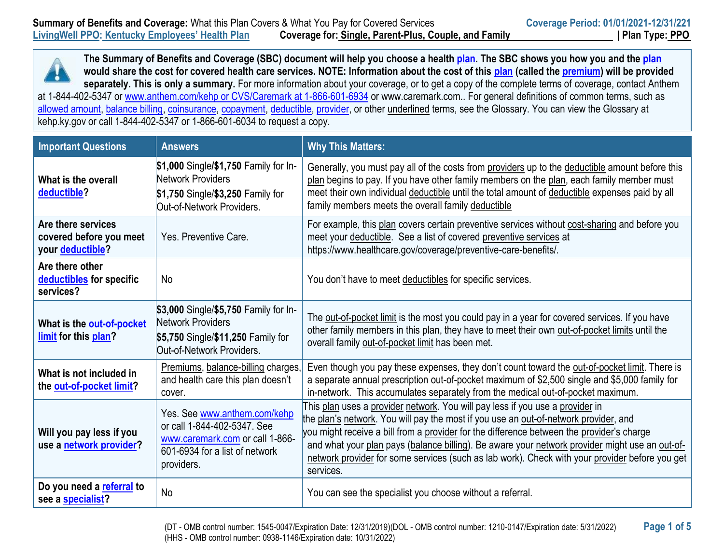

| <b>Important Questions</b>                                        | <b>Answers</b>                                                                                                                                 | <b>Why This Matters:</b>                                                                                                                                                                                                                                                                                                                                                                                                                                                            |
|-------------------------------------------------------------------|------------------------------------------------------------------------------------------------------------------------------------------------|-------------------------------------------------------------------------------------------------------------------------------------------------------------------------------------------------------------------------------------------------------------------------------------------------------------------------------------------------------------------------------------------------------------------------------------------------------------------------------------|
| What is the overall<br>deductible?                                | \$1,000 Single/\$1,750 Family for In-<br><b>Network Providers</b><br>\$1,750 Single/\$3,250 Family for<br>Out-of-Network Providers.            | Generally, you must pay all of the costs from providers up to the deductible amount before this<br>plan begins to pay. If you have other family members on the plan, each family member must<br>meet their own individual deductible until the total amount of deductible expenses paid by all<br>family members meets the overall family deductible                                                                                                                                |
| Are there services<br>covered before you meet<br>your deductible? | Yes, Preventive Care.                                                                                                                          | For example, this plan covers certain preventive services without cost-sharing and before you<br>meet your deductible. See a list of covered preventive services at<br>https://www.healthcare.gov/coverage/preventive-care-benefits/.                                                                                                                                                                                                                                               |
| Are there other<br>deductibles for specific<br>services?          | No                                                                                                                                             | You don't have to meet deductibles for specific services.                                                                                                                                                                                                                                                                                                                                                                                                                           |
| What is the out-of-pocket<br>limit for this plan?                 | \$3,000 Single/\$5,750 Family for In-<br>Network Providers<br>\$5,750 Single/\$11,250 Family for<br>Out-of-Network Providers.                  | The out-of-pocket limit is the most you could pay in a year for covered services. If you have<br>other family members in this plan, they have to meet their own out-of-pocket limits until the<br>overall family out-of-pocket limit has been met.                                                                                                                                                                                                                                  |
| What is not included in<br>the out-of-pocket limit?               | Premiums, balance-billing charges,<br>and health care this plan doesn't<br>cover.                                                              | Even though you pay these expenses, they don't count toward the out-of-pocket limit. There is<br>a separate annual prescription out-of-pocket maximum of \$2,500 single and \$5,000 family for<br>in-network. This accumulates separately from the medical out-of-pocket maximum.                                                                                                                                                                                                   |
| Will you pay less if you<br>use a network provider?               | Yes. See www.anthem.com/kehp<br>or call 1-844-402-5347. See<br>www.caremark.com or call 1-866-<br>601-6934 for a list of network<br>providers. | This plan uses a provider network. You will pay less if you use a provider in<br>the plan's network. You will pay the most if you use an out-of-network provider, and<br>you might receive a bill from a provider for the difference between the provider's charge<br>and what your plan pays (balance billing). Be aware your network provider might use an out-of-<br>network provider for some services (such as lab work). Check with your provider before you get<br>services. |
| Do you need a referral to<br>see a specialist?                    | <b>No</b>                                                                                                                                      | You can see the specialist you choose without a referral.                                                                                                                                                                                                                                                                                                                                                                                                                           |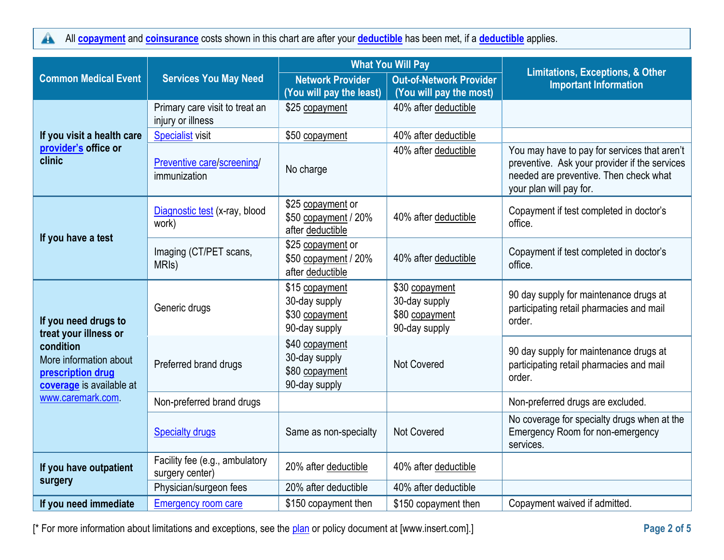All **[copayment](https://www.healthcare.gov/sbc-glossary/#copayment)** and **[coinsurance](https://www.healthcare.gov/sbc-glossary/#coinsurance)** costs shown in this chart are after your **[deductible](https://www.healthcare.gov/sbc-glossary/#deductible)** has been met, if a **[deductible](https://www.healthcare.gov/sbc-glossary/#deductible)** applies.  $\blacktriangle$ 

|                                                                                                                                       |                                                     | <b>What You Will Pay</b>                                           |                                                                    |                                                                                                                                                                    |
|---------------------------------------------------------------------------------------------------------------------------------------|-----------------------------------------------------|--------------------------------------------------------------------|--------------------------------------------------------------------|--------------------------------------------------------------------------------------------------------------------------------------------------------------------|
| <b>Common Medical Event</b>                                                                                                           | <b>Services You May Need</b>                        | <b>Network Provider</b><br>(You will pay the least)                | <b>Out-of-Network Provider</b><br>(You will pay the most)          | <b>Limitations, Exceptions, &amp; Other</b><br><b>Important Information</b>                                                                                        |
|                                                                                                                                       | Primary care visit to treat an<br>injury or illness | \$25 copayment                                                     | 40% after deductible                                               |                                                                                                                                                                    |
| If you visit a health care                                                                                                            | <b>Specialist visit</b>                             | \$50 copayment                                                     | 40% after deductible                                               |                                                                                                                                                                    |
| provider's office or<br>clinic                                                                                                        | Preventive care/screening/<br>immunization          | No charge                                                          | 40% after deductible                                               | You may have to pay for services that aren't<br>preventive. Ask your provider if the services<br>needed are preventive. Then check what<br>your plan will pay for. |
|                                                                                                                                       | Diagnostic test (x-ray, blood<br>work)              | \$25 copayment or<br>\$50 copayment / 20%<br>after deductible      | 40% after deductible                                               | Copayment if test completed in doctor's<br>office.                                                                                                                 |
| If you have a test                                                                                                                    | Imaging (CT/PET scans,<br>MRI <sub>s</sub> )        | \$25 copayment or<br>\$50 copayment / 20%<br>after deductible      | 40% after deductible                                               | Copayment if test completed in doctor's<br>office.                                                                                                                 |
| If you need drugs to<br>treat your illness or<br>condition<br>More information about<br>prescription drug<br>coverage is available at | Generic drugs                                       | \$15 copayment<br>30-day supply<br>\$30 copayment<br>90-day supply | \$30 copayment<br>30-day supply<br>\$80 copayment<br>90-day supply | 90 day supply for maintenance drugs at<br>participating retail pharmacies and mail<br>order.                                                                       |
|                                                                                                                                       | Preferred brand drugs                               | \$40 copayment<br>30-day supply<br>\$80 copayment<br>90-day supply | <b>Not Covered</b>                                                 | 90 day supply for maintenance drugs at<br>participating retail pharmacies and mail<br>order.                                                                       |
| www.caremark.com                                                                                                                      | Non-preferred brand drugs                           |                                                                    |                                                                    | Non-preferred drugs are excluded.                                                                                                                                  |
|                                                                                                                                       | <b>Specialty drugs</b>                              | Same as non-specialty                                              | <b>Not Covered</b>                                                 | No coverage for specialty drugs when at the<br>Emergency Room for non-emergency<br>services.                                                                       |
| If you have outpatient                                                                                                                | Facility fee (e.g., ambulatory<br>surgery center)   | 20% after deductible                                               | 40% after deductible                                               |                                                                                                                                                                    |
| surgery                                                                                                                               | Physician/surgeon fees                              | 20% after deductible                                               | 40% after deductible                                               |                                                                                                                                                                    |
| If you need immediate                                                                                                                 | <b>Emergency room care</b>                          | \$150 copayment then                                               | \$150 copayment then                                               | Copayment waived if admitted.                                                                                                                                      |

[\* For more information about limitations and exceptions, see the [plan](https://www.healthcare.gov/sbc-glossary/#plan) or policy document at [\[www.insert.com\]](http://www.insert.com/).] **Page 2 of 5**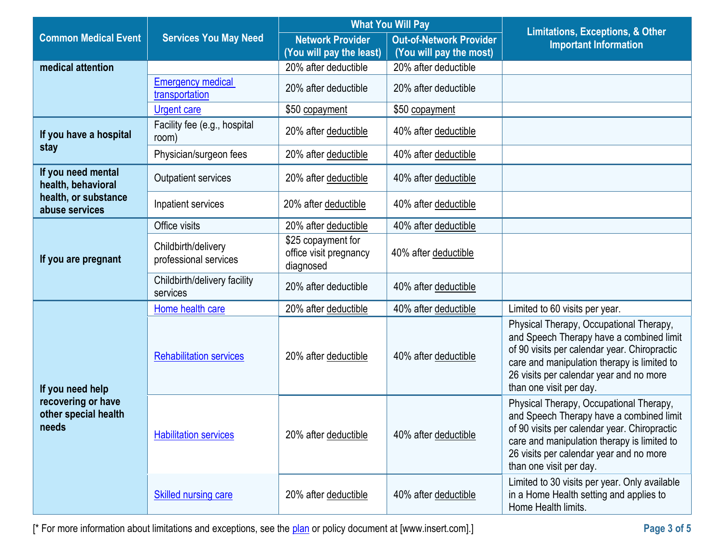|                                                                         |                                              | <b>What You Will Pay</b>                                  |                                                           | <b>Limitations, Exceptions, &amp; Other</b>                                                                                                                                                                                                              |
|-------------------------------------------------------------------------|----------------------------------------------|-----------------------------------------------------------|-----------------------------------------------------------|----------------------------------------------------------------------------------------------------------------------------------------------------------------------------------------------------------------------------------------------------------|
| <b>Common Medical Event</b>                                             | <b>Services You May Need</b>                 | <b>Network Provider</b><br>(You will pay the least)       | <b>Out-of-Network Provider</b><br>(You will pay the most) | <b>Important Information</b>                                                                                                                                                                                                                             |
| medical attention                                                       |                                              | 20% after deductible                                      | 20% after deductible                                      |                                                                                                                                                                                                                                                          |
|                                                                         | <b>Emergency medical</b><br>transportation   | 20% after deductible                                      | 20% after deductible                                      |                                                                                                                                                                                                                                                          |
|                                                                         | <b>Urgent care</b>                           | \$50 copayment                                            | \$50 copayment                                            |                                                                                                                                                                                                                                                          |
| If you have a hospital                                                  | Facility fee (e.g., hospital<br>room)        | 20% after deductible                                      | 40% after deductible                                      |                                                                                                                                                                                                                                                          |
| stay                                                                    | Physician/surgeon fees                       | 20% after deductible                                      | 40% after deductible                                      |                                                                                                                                                                                                                                                          |
| If you need mental<br>health, behavioral                                | <b>Outpatient services</b>                   | 20% after deductible                                      | 40% after deductible                                      |                                                                                                                                                                                                                                                          |
| health, or substance<br>abuse services                                  | Inpatient services                           | 20% after deductible                                      | 40% after deductible                                      |                                                                                                                                                                                                                                                          |
|                                                                         | Office visits                                | 20% after deductible                                      | 40% after deductible                                      |                                                                                                                                                                                                                                                          |
| If you are pregnant                                                     | Childbirth/delivery<br>professional services | \$25 copayment for<br>office visit pregnancy<br>diagnosed | 40% after deductible                                      |                                                                                                                                                                                                                                                          |
|                                                                         | Childbirth/delivery facility<br>services     | 20% after deductible                                      | 40% after deductible                                      |                                                                                                                                                                                                                                                          |
|                                                                         | Home health care                             | 20% after deductible                                      | 40% after deductible                                      | Limited to 60 visits per year.                                                                                                                                                                                                                           |
| If you need help<br>recovering or have<br>other special health<br>needs | <b>Rehabilitation services</b>               | 20% after deductible                                      | 40% after deductible                                      | Physical Therapy, Occupational Therapy,<br>and Speech Therapy have a combined limit<br>of 90 visits per calendar year. Chiropractic<br>care and manipulation therapy is limited to<br>26 visits per calendar year and no more<br>than one visit per day. |
|                                                                         | <b>Habilitation services</b>                 | 20% after deductible                                      | 40% after deductible                                      | Physical Therapy, Occupational Therapy,<br>and Speech Therapy have a combined limit<br>of 90 visits per calendar year. Chiropractic<br>care and manipulation therapy is limited to<br>26 visits per calendar year and no more<br>than one visit per day. |
|                                                                         | <b>Skilled nursing care</b>                  | 20% after deductible                                      | 40% after deductible                                      | Limited to 30 visits per year. Only available<br>in a Home Health setting and applies to<br>Home Health limits.                                                                                                                                          |

[\* For more information about limitations and exceptions, see the [plan](https://www.healthcare.gov/sbc-glossary/#plan) or policy document at [\[www.insert.com\]](http://www.insert.com/).] **Page 3 of 5**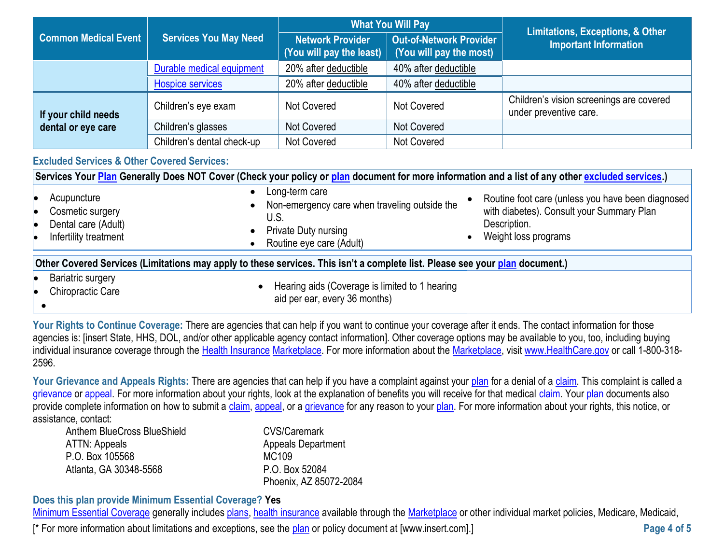|                             |                              | <b>What You Will Pay</b>                                        |                                                           | <b>Limitations, Exceptions, &amp; Other</b>                        |
|-----------------------------|------------------------------|-----------------------------------------------------------------|-----------------------------------------------------------|--------------------------------------------------------------------|
| <b>Common Medical Event</b> | <b>Services You May Need</b> | <b>Network Provider</b><br>(You will pay the least) $\parallel$ | <b>Out-of-Network Provider</b><br>(You will pay the most) | <b>Important Information</b>                                       |
|                             | Durable medical equipment    | 20% after deductible                                            | 40% after deductible                                      |                                                                    |
|                             | <b>Hospice services</b>      | 20% after deductible                                            | 40% after deductible                                      |                                                                    |
| If your child needs         | Children's eye exam          | <b>Not Covered</b>                                              | <b>Not Covered</b>                                        | Children's vision screenings are covered<br>under preventive care. |
| dental or eye care          | Children's glasses           | Not Covered                                                     | Not Covered                                               |                                                                    |
|                             | Children's dental check-up   | <b>Not Covered</b>                                              | Not Covered                                               |                                                                    |

## **Excluded Services & Other Covered Services:**

| Services Your Plan Generally Does NOT Cover (Check your policy or plan document for more information and a list of any other excluded services.) |                                                                                                                                                                                                                                                                              |  |  |
|--------------------------------------------------------------------------------------------------------------------------------------------------|------------------------------------------------------------------------------------------------------------------------------------------------------------------------------------------------------------------------------------------------------------------------------|--|--|
| Acupuncture<br>Cosmetic surgery<br><b>le</b><br>Dental care (Adult)<br>le<br>Infertility treatment                                               | Long-term care<br>Routine foot care (unless you have been diagnosed<br>Non-emergency care when traveling outside the<br>with diabetes). Consult your Summary Plan<br>U.S.<br>Description.<br><b>Private Duty nursing</b><br>Weight loss programs<br>Routine eye care (Adult) |  |  |
| Other Covered Services (Limitations may apply to these services. This isn't a complete list. Please see your plan document.)                     |                                                                                                                                                                                                                                                                              |  |  |
| <b>Bariatric surgery</b><br>le<br><b>Chiropractic Care</b><br>le                                                                                 | Hearing aids (Coverage is limited to 1 hearing                                                                                                                                                                                                                               |  |  |

- $\bullet$
- 

aid per ear, every 36 months)

Your Rights to Continue Coverage: There are agencies that can help if you want to continue your coverage after it ends. The contact information for those agencies is: [insert State, HHS, DOL, and/or other applicable agency contact information]. Other coverage options may be available to you, too, including buying individual insurance coverage through the [Health Insurance](https://www.healthcare.gov/sbc-glossary/#health-insurance) [Marketplace.](https://www.healthcare.gov/sbc-glossary/#marketplace) For more information about the [Marketplace,](https://www.healthcare.gov/sbc-glossary/#marketplace) visi[t www.HealthCare.gov](http://www.healthcare.gov/) or call 1-800-318-2596.

Your Grievance and Appeals Rights: There are agencies that can help if you have a complaint against your [plan](https://www.healthcare.gov/sbc-glossary/#plan) for a denial of a [claim.](https://www.healthcare.gov/sbc-glossary/#claim) This complaint is called a [grievance](https://www.healthcare.gov/sbc-glossary/#grievance) or [appeal.](https://www.healthcare.gov/sbc-glossary/#appeal) For more information about your rights, look at the explanation of benefits you will receive for that medical [claim.](https://www.healthcare.gov/sbc-glossary/#claim) You[r plan](https://www.healthcare.gov/sbc-glossary/#plan) documents also provide complete information on how to submit a [claim,](https://www.healthcare.gov/sbc-glossary/#claim) [appeal,](https://www.healthcare.gov/sbc-glossary/#appeal) or a [grievance](https://www.healthcare.gov/sbc-glossary/#grievance) for any reason to your [plan.](https://www.healthcare.gov/sbc-glossary/#plan) For more information about your rights, this notice, or assistance, contact:

| Anthem BlueCross BlueShield | CVS/Caremark              |
|-----------------------------|---------------------------|
| ATTN: Appeals               | <b>Appeals Department</b> |
| P.O. Box 105568             | MC109                     |
| Atlanta, GA 30348-5568      | P.O. Box 52084            |
|                             | Phoenix, AZ 85072-2084    |

## **Does this plan provide Minimum Essential Coverage? Yes**

[Minimum Essential Coverage](https://www.healthcare.gov/sbc-glossary/#minimum-essential-coverage) generally includes [plans,](https://www.healthcare.gov/sbc-glossary/#plan) [health insurance](https://www.healthcare.gov/sbc-glossary/#health-insurance) available through the [Marketplace](https://www.healthcare.gov/sbc-glossary/#marketplace) or other individual market policies, Medicare, Medicaid,

[\* For more information about limitations and exceptions, see the [plan](https://www.healthcare.gov/sbc-glossary/#plan) or policy document at [\[www.insert.com\]](http://www.insert.com/).] **Page 4 of 5**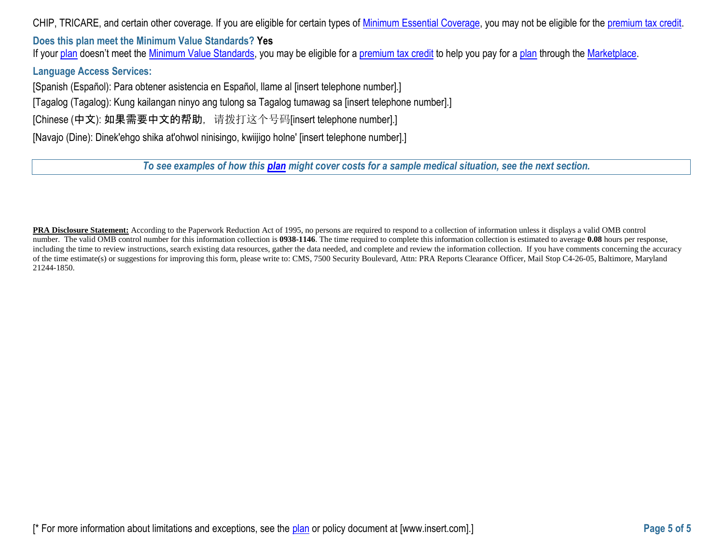CHIP, TRICARE, and certain other coverage. If you are eligible for certain types of [Minimum Essential Coverage,](https://www.healthcare.gov/sbc-glossary/#minimum-essential-coverage) you may not be eligible for the [premium tax credit.](https://www.healthcare.gov/sbc-glossary/#premium-tax-credits)

**Does this plan meet the Minimum Value Standards? Yes** If your [plan](https://www.healthcare.gov/sbc-glossary/#plan) doesn't meet the [Minimum Value Standards,](https://www.healthcare.gov/sbc-glossary/#minimum-value-standard) you may be eligible for a [premium tax credit](https://www.healthcare.gov/sbc-glossary/#premium-tax-credits) to help you pay for a plan through the [Marketplace.](https://www.healthcare.gov/sbc-glossary/#marketplace)

**Language Access Services:**

[Spanish (Español): Para obtener asistencia en Español, llame al [insert telephone number].]

[Tagalog (Tagalog): Kung kailangan ninyo ang tulong sa Tagalog tumawag sa [insert telephone number].]

[Chinese (中文): 如果需要中文的帮助, 请拨打这个号码[insert telephone number].]

[Navajo (Dine): Dinek'ehgo shika at'ohwol ninisingo, kwiijigo holne' [insert telephone number].]

*To see examples of how this [plan](https://www.healthcare.gov/sbc-glossary/#plan) might cover costs for a sample medical situation, see the next section.*

**PRA Disclosure Statement:** According to the Paperwork Reduction Act of 1995, no persons are required to respond to a collection of information unless it displays a valid OMB control number. The valid OMB control number for this information collection is **0938-1146**. The time required to complete this information collection is estimated to average **0.08** hours per response, including the time to review instructions, search existing data resources, gather the data needed, and complete and review the information collection. If you have comments concerning the accuracy of the time estimate(s) or suggestions for improving this form, please write to: CMS, 7500 Security Boulevard, Attn: PRA Reports Clearance Officer, Mail Stop C4-26-05, Baltimore, Maryland 21244-1850.